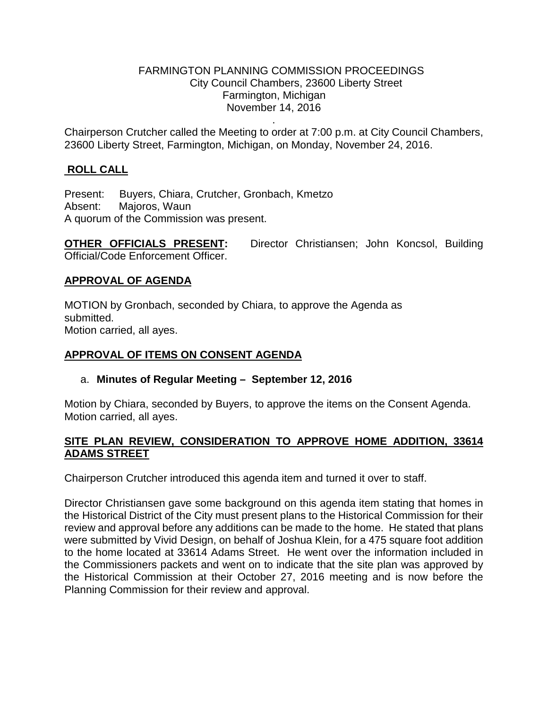### FARMINGTON PLANNING COMMISSION PROCEEDINGS City Council Chambers, 23600 Liberty Street Farmington, Michigan November 14, 2016

. Chairperson Crutcher called the Meeting to order at 7:00 p.m. at City Council Chambers, 23600 Liberty Street, Farmington, Michigan, on Monday, November 24, 2016.

# **ROLL CALL**

Present: Buyers, Chiara, Crutcher, Gronbach, Kmetzo Absent: Majoros, Waun A quorum of the Commission was present.

**OTHER OFFICIALS PRESENT:** Director Christiansen; John Koncsol, Building Official/Code Enforcement Officer.

## **APPROVAL OF AGENDA**

MOTION by Gronbach, seconded by Chiara, to approve the Agenda as submitted. Motion carried, all ayes.

### **APPROVAL OF ITEMS ON CONSENT AGENDA**

#### a. **Minutes of Regular Meeting – September 12, 2016**

Motion by Chiara, seconded by Buyers, to approve the items on the Consent Agenda. Motion carried, all ayes.

### **SITE PLAN REVIEW, CONSIDERATION TO APPROVE HOME ADDITION, 33614 ADAMS STREET**

Chairperson Crutcher introduced this agenda item and turned it over to staff.

Director Christiansen gave some background on this agenda item stating that homes in the Historical District of the City must present plans to the Historical Commission for their review and approval before any additions can be made to the home. He stated that plans were submitted by Vivid Design, on behalf of Joshua Klein, for a 475 square foot addition to the home located at 33614 Adams Street. He went over the information included in the Commissioners packets and went on to indicate that the site plan was approved by the Historical Commission at their October 27, 2016 meeting and is now before the Planning Commission for their review and approval.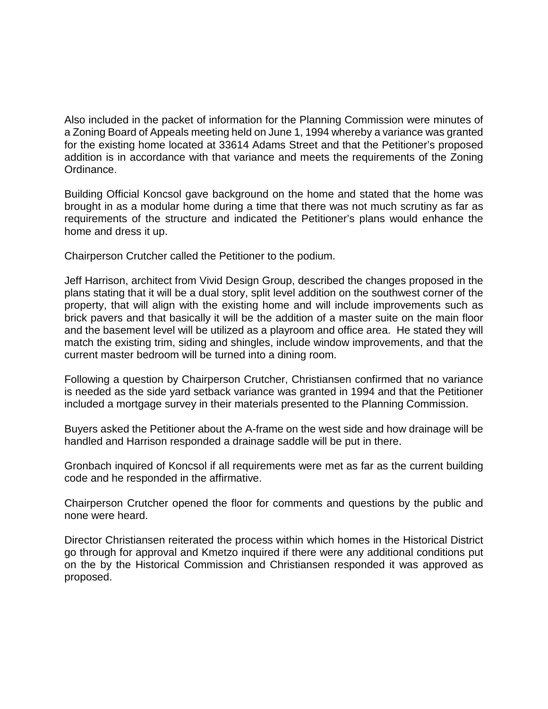Also included in the packet of information for the Planning Commission were minutes of a Zoning Board of Appeals meeting held on June 1, 1994 whereby a variance was granted for the existing home located at 33614 Adams Street and that the Petitioner's proposed addition is in accordance with that variance and meets the requirements of the Zoning Ordinance.

Building Official Koncsol gave background on the home and stated that the home was brought in as a modular home during a time that there was not much scrutiny as far as requirements of the structure and indicated the Petitioner's plans would enhance the home and dress it up.

Chairperson Crutcher called the Petitioner to the podium.

Jeff Harrison, architect from Vivid Design Group, described the changes proposed in the plans stating that it will be a dual story, split level addition on the southwest corner of the property, that will align with the existing home and will include improvements such as brick pavers and that basically it will be the addition of a master suite on the main floor and the basement level will be utilized as a playroom and office area. He stated they will match the existing trim, siding and shingles, include window improvements, and that the current master bedroom will be turned into a dining room.

Following a question by Chairperson Crutcher, Christiansen confirmed that no variance is needed as the side yard setback variance was granted in 1994 and that the Petitioner included a mortgage survey in their materials presented to the Planning Commission.

Buyers asked the Petitioner about the A-frame on the west side and how drainage will be handled and Harrison responded a drainage saddle will be put in there.

Gronbach inquired of Koncsol if all requirements were met as far as the current building code and he responded in the affirmative.

Chairperson Crutcher opened the floor for comments and questions by the public and none were heard.

Director Christiansen reiterated the process within which homes in the Historical District go through for approval and Kmetzo inquired if there were any additional conditions put on the by the Historical Commission and Christiansen responded it was approved as proposed.